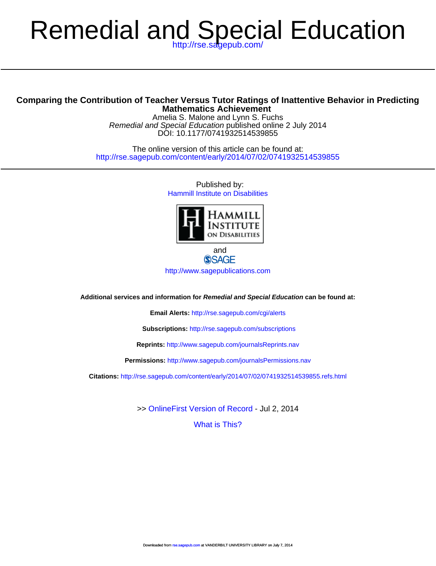# Remedial and Special Education

# **Mathematics Achievement Comparing the Contribution of Teacher Versus Tutor Ratings of Inattentive Behavior in Predicting**

DOI: 10.1177/0741932514539855 Remedial and Special Education published online 2 July 2014 Amelia S. Malone and Lynn S. Fuchs

<http://rse.sagepub.com/content/early/2014/07/02/0741932514539855> The online version of this article can be found at:

> Published by: [Hammill Institute on Disabilities](http://www.hammill-institute.org/)



and **SSAGE** <http://www.sagepublications.com>

**Additional services and information for Remedial and Special Education can be found at:**

**Email Alerts:** <http://rse.sagepub.com/cgi/alerts>

**Subscriptions:** <http://rse.sagepub.com/subscriptions>

**Reprints:** <http://www.sagepub.com/journalsReprints.nav>

**Permissions:** <http://www.sagepub.com/journalsPermissions.nav>

**Citations:** <http://rse.sagepub.com/content/early/2014/07/02/0741932514539855.refs.html>

>> [OnlineFirst Version of Record -](http://rse.sagepub.com/content/early/2014/07/02/0741932514539855.full.pdf) Jul 2, 2014

[What is This?](http://online.sagepub.com/site/sphelp/vorhelp.xhtml)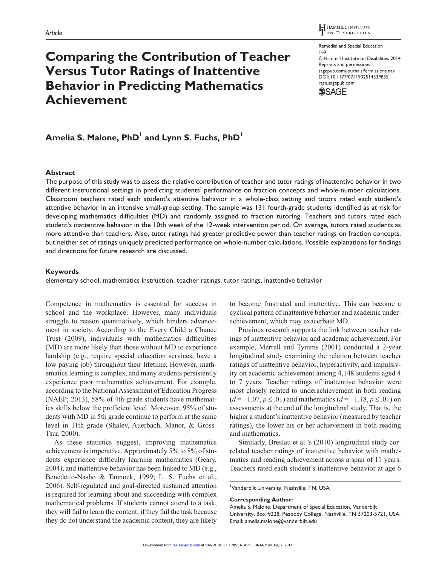#### H HAMMILL INSTITUTE L<br>On Disabilities

# **Comparing the Contribution of Teacher Versus Tutor Ratings of Inattentive Behavior in Predicting Mathematics Achievement**

Remedial and Special Education 1–9 © Hammill Institute on Disabilities 2014 Reprints and permissions: sagepub.com/journalsPermissions.nav DOI: 10.1177/0741932514539855 rase.sagepub.com

**SSAGE** 

# $\bm{\mathsf{A}}$ melia S. Malone,  $\bm{\mathsf{PhD}}^{\mathsf{I}}$  and Lynn S. Fuchs,  $\bm{\mathsf{PhD}}^{\mathsf{I}}$

#### **Abstract**

The purpose of this study was to assess the relative contribution of teacher and tutor ratings of inattentive behavior in two different instructional settings in predicting students' performance on fraction concepts and whole-number calculations. Classroom teachers rated each student's attentive behavior in a whole-class setting and tutors rated each student's attentive behavior in an intensive small-group setting. The sample was 131 fourth-grade students identified as at risk for developing mathematics difficulties (MD) and randomly assigned to fraction tutoring. Teachers and tutors rated each student's inattentive behavior in the 10th week of the 12-week intervention period. On average, tutors rated students as more attentive than teachers. Also, tutor ratings had greater predictive power than teacher ratings on fraction concepts, but neither set of ratings uniquely predicted performance on whole-number calculations. Possible explanations for findings and directions for future research are discussed.

#### **Keywords**

elementary school, mathematics instruction, teacher ratings, tutor ratings, inattentive behavior

Competence in mathematics is essential for success in school and the workplace. However, many individuals struggle to reason quantitatively, which hinders advancement in society. According to the Every Child a Chance Trust (2009), individuals with mathematics difficulties (MD) are more likely than those without MD to experience hardship (e.g., require special education services, have a low paying job) throughout their lifetime. However, mathematics learning is complex, and many students persistently experience poor mathematics achievement. For example, according to the National Assessment of Education Progress (NAEP; 2013), 58% of 4th-grade students have mathematics skills below the proficient level. Moreover, 95% of students with MD in 5th grade continue to perform at the same level in 11th grade (Shalev, Auerbach, Manor, & Gross-Tsur, 2000).

As these statistics suggest, improving mathematics achievement is imperative. Approximately 5% to 8% of students experience difficulty learning mathematics (Geary, 2004), and inattentive behavior has been linked to MD (e.g., Benedetto-Nasho & Tannock, 1999; L. S. Fuchs et al., 2006). Self-regulated and goal-directed sustained attention is required for learning about and succeeding with complex mathematical problems. If students cannot attend to a task, they will fail to learn the content; if they fail the task because they do not understand the academic content, they are likely

to become frustrated and inattentive. This can become a cyclical pattern of inattentive behavior and academic underachievement, which may exacerbate MD.

Previous research supports the link between teacher ratings of inattentive behavior and academic achievement. For example, Merrell and Tymms (2001) conducted a 2-year longitudinal study examining the relation between teacher ratings of inattentive behavior, hyperactivity, and impulsivity on academic achievement among 4,148 students aged 4 to 7 years. Teacher ratings of inattentive behavior were most closely related to underachievement in both reading (*d* = −1.07, *p* ≤ .01) and mathematics (*d* = −1.18, *p* ≤ .01) on assessments at the end of the longitudinal study. That is, the higher a student's inattentive behavior (measured by teacher ratings), the lower his or her achievement in both reading and mathematics.

Similarly, Breslau et al.'s (2010) longitudinal study correlated teacher ratings of inattentive behavior with mathematics and reading achievement across a span of 11 years. Teachers rated each student's inattentive behavior at age 6

<sup>1</sup>Vanderbilt University, Nashville, TN, USA

#### **Corresponding Author:**

Amelia S. Malone, Department of Special Education, Vanderbilt University, Box #228, Peabody College, Nashville, TN 37203-5721, USA. Email: [amelia.malone@vanderbilt.edu](mailto:amelia.malone@vanderbilt.edu)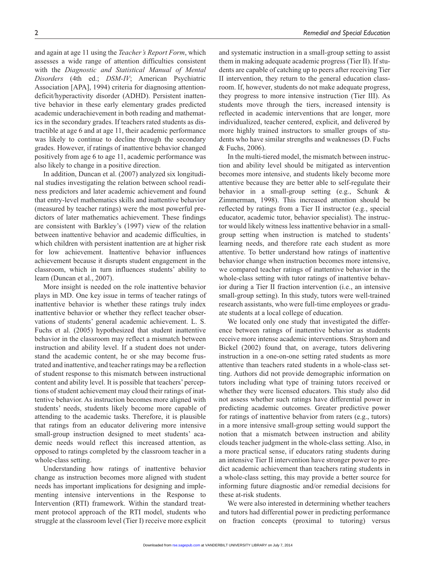and again at age 11 using the *Teacher's Report Form*, which assesses a wide range of attention difficulties consistent with the *Diagnostic and Statistical Manual of Mental Disorders* (4th ed.; *DSM-IV*; American Psychiatric Association [APA], 1994) criteria for diagnosing attentiondeficit/hyperactivity disorder (ADHD). Persistent inattentive behavior in these early elementary grades predicted academic underachievement in both reading and mathematics in the secondary grades. If teachers rated students as distractible at age 6 and at age 11, their academic performance was likely to continue to decline through the secondary grades. However, if ratings of inattentive behavior changed positively from age 6 to age 11, academic performance was also likely to change in a positive direction.

In addition, Duncan et al. (2007) analyzed six longitudinal studies investigating the relation between school readiness predictors and later academic achievement and found that entry-level mathematics skills and inattentive behavior (measured by teacher ratings) were the most powerful predictors of later mathematics achievement. These findings are consistent with Barkley's (1997) view of the relation between inattentive behavior and academic difficulties, in which children with persistent inattention are at higher risk for low achievement. Inattentive behavior influences achievement because it disrupts student engagement in the classroom, which in turn influences students' ability to learn (Duncan et al., 2007).

More insight is needed on the role inattentive behavior plays in MD. One key issue in terms of teacher ratings of inattentive behavior is whether these ratings truly index inattentive behavior or whether they reflect teacher observations of students' general academic achievement. L. S. Fuchs et al. (2005) hypothesized that student inattentive behavior in the classroom may reflect a mismatch between instruction and ability level. If a student does not understand the academic content, he or she may become frustrated and inattentive, and teacher ratings may be a reflection of student response to this mismatch between instructional content and ability level. It is possible that teachers' perceptions of student achievement may cloud their ratings of inattentive behavior. As instruction becomes more aligned with students' needs, students likely become more capable of attending to the academic tasks. Therefore, it is plausible that ratings from an educator delivering more intensive small-group instruction designed to meet students' academic needs would reflect this increased attention, as opposed to ratings completed by the classroom teacher in a whole-class setting.

Understanding how ratings of inattentive behavior change as instruction becomes more aligned with student needs has important implications for designing and implementing intensive interventions in the Response to Intervention (RTI) framework. Within the standard treatment protocol approach of the RTI model, students who struggle at the classroom level (Tier I) receive more explicit and systematic instruction in a small-group setting to assist them in making adequate academic progress (Tier II). If students are capable of catching up to peers after receiving Tier II intervention, they return to the general education classroom. If, however, students do not make adequate progress, they progress to more intensive instruction (Tier III). As students move through the tiers, increased intensity is reflected in academic interventions that are longer, more individualized, teacher centered, explicit, and delivered by more highly trained instructors to smaller groups of students who have similar strengths and weaknesses (D. Fuchs & Fuchs, 2006).

In the multi-tiered model, the mismatch between instruction and ability level should be mitigated as intervention becomes more intensive, and students likely become more attentive because they are better able to self-regulate their behavior in a small-group setting (e.g., Schunk & Zimmerman, 1998). This increased attention should be reflected by ratings from a Tier II instructor (e.g., special educator, academic tutor, behavior specialist). The instructor would likely witness less inattentive behavior in a smallgroup setting when instruction is matched to students' learning needs, and therefore rate each student as more attentive. To better understand how ratings of inattentive behavior change when instruction becomes more intensive, we compared teacher ratings of inattentive behavior in the whole-class setting with tutor ratings of inattentive behavior during a Tier II fraction intervention (i.e., an intensive small-group setting). In this study, tutors were well-trained research assistants, who were full-time employees or graduate students at a local college of education.

We located only one study that investigated the difference between ratings of inattentive behavior as students receive more intense academic interventions. Strayhorn and Bickel (2002) found that, on average, tutors delivering instruction in a one-on-one setting rated students as more attentive than teachers rated students in a whole-class setting. Authors did not provide demographic information on tutors including what type of training tutors received or whether they were licensed educators. This study also did not assess whether such ratings have differential power in predicting academic outcomes. Greater predictive power for ratings of inattentive behavior from raters (e.g., tutors) in a more intensive small-group setting would support the notion that a mismatch between instruction and ability clouds teacher judgment in the whole-class setting. Also, in a more practical sense, if educators rating students during an intensive Tier II intervention have stronger power to predict academic achievement than teachers rating students in a whole-class setting, this may provide a better source for informing future diagnostic and/or remedial decisions for these at-risk students.

We were also interested in determining whether teachers and tutors had differential power in predicting performance on fraction concepts (proximal to tutoring) versus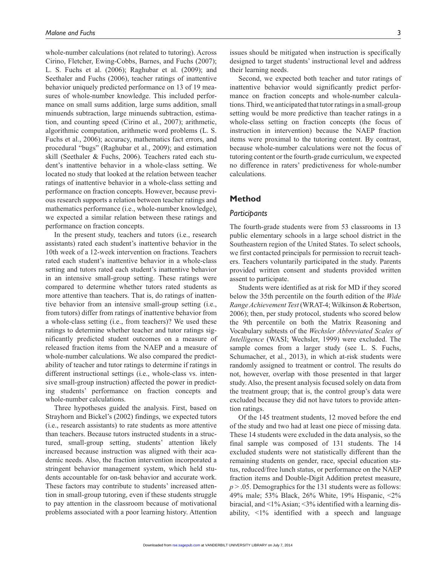whole-number calculations (not related to tutoring). Across Cirino, Fletcher, Ewing-Cobbs, Barnes, and Fuchs (2007); L. S. Fuchs et al. (2006); Raghubar et al. (2009); and Seethaler and Fuchs (2006), teacher ratings of inattentive behavior uniquely predicted performance on 13 of 19 measures of whole-number knowledge. This included performance on small sums addition, large sums addition, small minuends subtraction, large minuends subtraction, estimation, and counting speed (Cirino et al., 2007); arithmetic, algorithmic computation, arithmetic word problems (L. S. Fuchs et al., 2006); accuracy, mathematics fact errors, and procedural "bugs" (Raghubar et al., 2009); and estimation skill (Seethaler & Fuchs, 2006). Teachers rated each student's inattentive behavior in a whole-class setting. We located no study that looked at the relation between teacher ratings of inattentive behavior in a whole-class setting and performance on fraction concepts. However, because previous research supports a relation between teacher ratings and mathematics performance (i.e., whole-number knowledge), we expected a similar relation between these ratings and performance on fraction concepts.

In the present study, teachers and tutors (i.e., research assistants) rated each student's inattentive behavior in the 10th week of a 12-week intervention on fractions. Teachers rated each student's inattentive behavior in a whole-class setting and tutors rated each student's inattentive behavior in an intensive small-group setting. These ratings were compared to determine whether tutors rated students as more attentive than teachers. That is, do ratings of inattentive behavior from an intensive small-group setting (i.e., from tutors) differ from ratings of inattentive behavior from a whole-class setting (i.e., from teachers)? We used these ratings to determine whether teacher and tutor ratings significantly predicted student outcomes on a measure of released fraction items from the NAEP and a measure of whole-number calculations. We also compared the predictability of teacher and tutor ratings to determine if ratings in different instructional settings (i.e., whole-class vs. intensive small-group instruction) affected the power in predicting students' performance on fraction concepts and whole-number calculations.

Three hypotheses guided the analysis. First, based on Strayhorn and Bickel's (2002) findings, we expected tutors (i.e., research assistants) to rate students as more attentive than teachers. Because tutors instructed students in a structured, small-group setting, students' attention likely increased because instruction was aligned with their academic needs. Also, the fraction intervention incorporated a stringent behavior management system, which held students accountable for on-task behavior and accurate work. These factors may contribute to students' increased attention in small-group tutoring, even if these students struggle to pay attention in the classroom because of motivational problems associated with a poor learning history. Attention

issues should be mitigated when instruction is specifically designed to target students' instructional level and address their learning needs.

Second, we expected both teacher and tutor ratings of inattentive behavior would significantly predict performance on fraction concepts and whole-number calculations. Third, we anticipated that tutor ratings in a small-group setting would be more predictive than teacher ratings in a whole-class setting on fraction concepts (the focus of instruction in intervention) because the NAEP fraction items were proximal to the tutoring content. By contrast, because whole-number calculations were not the focus of tutoring content or the fourth-grade curriculum, we expected no difference in raters' predictiveness for whole-number calculations.

# **Method**

## *Participants*

The fourth-grade students were from 53 classrooms in 13 public elementary schools in a large school district in the Southeastern region of the United States. To select schools, we first contacted principals for permission to recruit teachers. Teachers voluntarily participated in the study. Parents provided written consent and students provided written assent to participate.

Students were identified as at risk for MD if they scored below the 35th percentile on the fourth edition of the *Wide Range Achievement Test* (WRAT-4; Wilkinson & Robertson, 2006); then, per study protocol, students who scored below the 9th percentile on both the Matrix Reasoning and Vocabulary subtests of the *Wechsler Abbreviated Scales of Intelligence* (WASI; Wechsler, 1999) were excluded. The sample comes from a larger study (see L. S. Fuchs, Schumacher, et al., 2013), in which at-risk students were randomly assigned to treatment or control. The results do not, however, overlap with those presented in that larger study. Also, the present analysis focused solely on data from the treatment group; that is, the control group's data were excluded because they did not have tutors to provide attention ratings.

Of the 145 treatment students, 12 moved before the end of the study and two had at least one piece of missing data. These 14 students were excluded in the data analysis, so the final sample was composed of 131 students. The 14 excluded students were not statistically different than the remaining students on gender, race, special education status, reduced/free lunch status, or performance on the NAEP fraction items and Double-Digit Addition pretest measure, *p* > .05. Demographics for the 131 students were as follows: 49% male; 53% Black, 26% White, 19% Hispanic, <2% biracial, and <1% Asian; <3% identified with a learning disability, <1% identified with a speech and language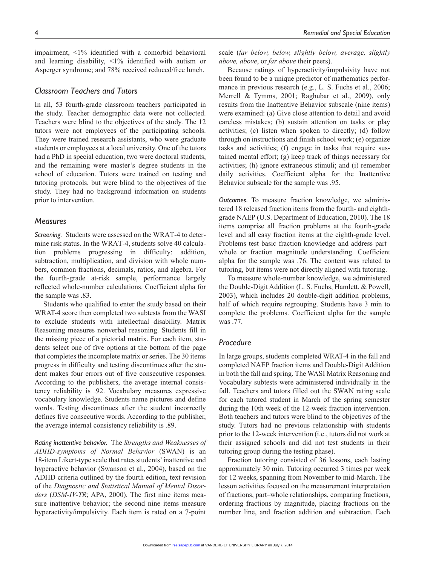# *Classroom Teachers and Tutors*

In all, 53 fourth-grade classroom teachers participated in the study. Teacher demographic data were not collected. Teachers were blind to the objectives of the study. The 12 tutors were not employees of the participating schools. They were trained research assistants, who were graduate students or employees at a local university. One of the tutors had a PhD in special education, two were doctoral students, and the remaining were master's degree students in the school of education. Tutors were trained on testing and tutoring protocols, but were blind to the objectives of the study. They had no background information on students prior to intervention.

# *Measures*

*Screening.* Students were assessed on the WRAT-4 to determine risk status. In the WRAT-4, students solve 40 calculation problems progressing in difficulty: addition, subtraction, multiplication, and division with whole numbers, common fractions, decimals, ratios, and algebra. For the fourth-grade at-risk sample, performance largely reflected whole-number calculations. Coefficient alpha for the sample was .83.

Students who qualified to enter the study based on their WRAT-4 score then completed two subtests from the WASI to exclude students with intellectual disability. Matrix Reasoning measures nonverbal reasoning. Students fill in the missing piece of a pictorial matrix. For each item, students select one of five options at the bottom of the page that completes the incomplete matrix or series. The 30 items progress in difficulty and testing discontinues after the student makes four errors out of five consecutive responses. According to the publishers, the average internal consistency reliability is .92. Vocabulary measures expressive vocabulary knowledge. Students name pictures and define words. Testing discontinues after the student incorrectly defines five consecutive words. According to the publisher, the average internal consistency reliability is .89.

*Rating inattentive behavior.* The *Strengths and Weaknesses of ADHD-symptoms of Normal Behavior* (SWAN) is an 18-item Likert-type scale that rates students' inattentive and hyperactive behavior (Swanson et al., 2004), based on the ADHD criteria outlined by the fourth edition, text revision of the *Diagnostic and Statistical Manual of Mental Disorders* (*DSM-IV-TR*; APA, 2000). The first nine items measure inattentive behavior; the second nine items measure hyperactivity/impulsivity. Each item is rated on a 7-point

scale (*far below, below, slightly below, average, slightly above, above*, or *far above* their peers).

Because ratings of hyperactivity/impulsivity have not been found to be a unique predictor of mathematics performance in previous research (e.g., L. S. Fuchs et al., 2006; Merrell & Tymms, 2001; Raghubar et al., 2009), only results from the Inattentive Behavior subscale (nine items) were examined: (a) Give close attention to detail and avoid careless mistakes; (b) sustain attention on tasks or play activities; (c) listen when spoken to directly; (d) follow through on instructions and finish school work; (e) organize tasks and activities; (f) engage in tasks that require sustained mental effort; (g) keep track of things necessary for activities; (h) ignore extraneous stimuli; and (i) remember daily activities. Coefficient alpha for the Inattentive Behavior subscale for the sample was .95.

*Outcomes.* To measure fraction knowledge, we administered 18 released fraction items from the fourth- and eighthgrade NAEP (U.S. Department of Education, 2010). The 18 items comprise all fraction problems at the fourth-grade level and all easy fraction items at the eighth-grade level. Problems test basic fraction knowledge and address part– whole or fraction magnitude understanding. Coefficient alpha for the sample was .76. The content was related to tutoring, but items were not directly aligned with tutoring.

To measure whole-number knowledge, we administered the Double-Digit Addition (L. S. Fuchs, Hamlett, & Powell, 2003), which includes 20 double-digit addition problems, half of which require regrouping. Students have 3 min to complete the problems. Coefficient alpha for the sample was .77.

## *Procedure*

In large groups, students completed WRAT-4 in the fall and completed NAEP fraction items and Double-Digit Addition in both the fall and spring. The WASI Matrix Reasoning and Vocabulary subtests were administered individually in the fall. Teachers and tutors filled out the SWAN rating scale for each tutored student in March of the spring semester during the 10th week of the 12-week fraction intervention. Both teachers and tutors were blind to the objectives of the study. Tutors had no previous relationship with students prior to the 12-week intervention (i.e., tutors did not work at their assigned schools and did not test students in their tutoring group during the testing phase).

Fraction tutoring consisted of 36 lessons, each lasting approximately 30 min. Tutoring occurred 3 times per week for 12 weeks, spanning from November to mid-March. The lesson activities focused on the measurement interpretation of fractions, part–whole relationships, comparing fractions, ordering fractions by magnitude, placing fractions on the number line, and fraction addition and subtraction. Each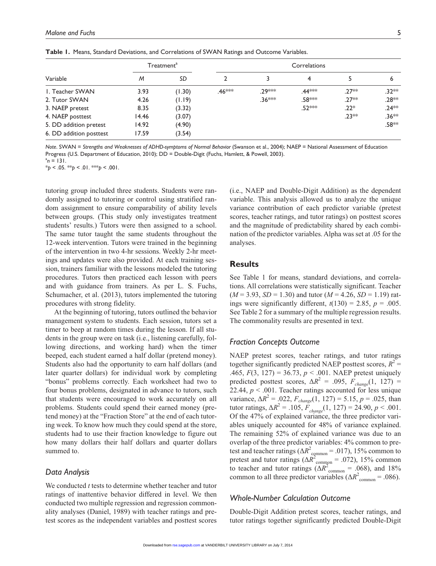| Variable                | $\sf Treatment^a$ |        | Correlations       |          |                    |         |                    |  |
|-------------------------|-------------------|--------|--------------------|----------|--------------------|---------|--------------------|--|
|                         | M                 | SD     |                    |          | 4                  |         | 6                  |  |
| I. Teacher SWAN         | 3.93              | (1.30) | .46 <sup>***</sup> | 29 **    | .44 <sup>***</sup> | $.27**$ | $.32**$            |  |
| 2. Tutor SWAN           | 4.26              | (1.19) |                    | $.36***$ | .58***             | $.27**$ | $.28**$            |  |
| 3. NAEP pretest         | 8.35              | (3.32) |                    |          | .52 <sup>***</sup> | $.22*$  | $.24***$           |  |
| 4. NAEP posttest        | 14.46             | (3.07) |                    |          |                    | $.23**$ | $.36**$            |  |
| 5. DD addition pretest  | 14.92             | (4.90) |                    |          |                    |         | .58 <sup>*</sup> * |  |
| 6. DD addition posttest | 17.59             | (3.54) |                    |          |                    |         |                    |  |

**Table 1.** Means, Standard Deviations, and Correlations of SWAN Ratings and Outcome Variables.

*Note*. SWAN = *Strengths and Weaknesses of ADHD-symptoms of Normal Behavior* (Swanson et al., 2004); NAEP = National Assessment of Education Progress (U.S. Department of Education, 2010); DD = Double-Digit (Fuchs, Hamlett, & Powell, 2003).

 $a_n = 131.$ 

\**p* < .05. \*\**p* < .01. \*\*\**p* < .001.

tutoring group included three students. Students were randomly assigned to tutoring or control using stratified random assignment to ensure comparability of ability levels between groups. (This study only investigates treatment students' results.) Tutors were then assigned to a school. The same tutor taught the same students throughout the 12-week intervention. Tutors were trained in the beginning of the intervention in two 4-hr sessions. Weekly 2-hr meetings and updates were also provided. At each training session, trainers familiar with the lessons modeled the tutoring procedures. Tutors then practiced each lesson with peers and with guidance from trainers. As per L. S. Fuchs, Schumacher, et al. (2013), tutors implemented the tutoring procedures with strong fidelity.

At the beginning of tutoring, tutors outlined the behavior management system to students. Each session, tutors set a timer to beep at random times during the lesson. If all students in the group were on task (i.e., listening carefully, following directions, and working hard) when the timer beeped, each student earned a half dollar (pretend money). Students also had the opportunity to earn half dollars (and later quarter dollars) for individual work by completing "bonus" problems correctly. Each worksheet had two to four bonus problems, designated in advance to tutors, such that students were encouraged to work accurately on all problems. Students could spend their earned money (pretend money) at the "Fraction Store" at the end of each tutoring week. To know how much they could spend at the store, students had to use their fraction knowledge to figure out how many dollars their half dollars and quarter dollars summed to.

# *Data Analysis*

We conducted *t* tests to determine whether teacher and tutor ratings of inattentive behavior differed in level. We then conducted two multiple regression and regression commonality analyses (Daniel, 1989) with teacher ratings and pretest scores as the independent variables and posttest scores

(i.e., NAEP and Double-Digit Addition) as the dependent variable. This analysis allowed us to analyze the unique variance contribution of each predictor variable (pretest scores, teacher ratings, and tutor ratings) on posttest scores and the magnitude of predictability shared by each combination of the predictor variables. Alpha was set at .05 for the analyses.

# **Results**

See Table 1 for means, standard deviations, and correlations. All correlations were statistically significant. Teacher  $(M = 3.93, SD = 1.30)$  and tutor  $(M = 4.26, SD = 1.19)$  ratings were significantly different,  $t(130) = 2.85$ ,  $p = .005$ . See Table 2 for a summary of the multiple regression results. The commonality results are presented in text.

# *Fraction Concepts Outcome*

NAEP pretest scores, teacher ratings, and tutor ratings together significantly predicted NAEP posttest scores,  $R^2$  = .465, *F*(3, 127) = 36.73, *p* < .001. NAEP pretest uniquely predicted posttest scores,  $\Delta R^2 = .095$ ,  $F_{change}(1, 127) =$ 22.44,  $p < .001$ . Teacher ratings accounted for less unique variance,  $\Delta R^2 = .022$ ,  $F_{change}(1, 127) = 5.15$ ,  $p = .025$ , than tutor ratings,  $\Delta R^2 = .105$ ,  $\overline{F}_{change}(1, 127) = 24.90$ ,  $p < .001$ . Of the 47% of explained variance, the three predictor variables uniquely accounted for 48% of variance explained. The remaining 52% of explained variance was due to an overlap of the three predictor variables: 4% common to pretest and teacher ratings ( $\Delta R^2_{\text{common}} = .017$ ), 15% common to pretest and tutor ratings  $(\Delta R^2_{\text{common}} = .072)$ , 15% common to teacher and tutor ratings  $(\Delta R^2)_{\text{common}} = .068$ , and 18% common to all three predictor variables ( $\Delta R^2_{\text{common}} = .086$ ).

## *Whole-Number Calculation Outcome*

Double-Digit Addition pretest scores, teacher ratings, and tutor ratings together significantly predicted Double-Digit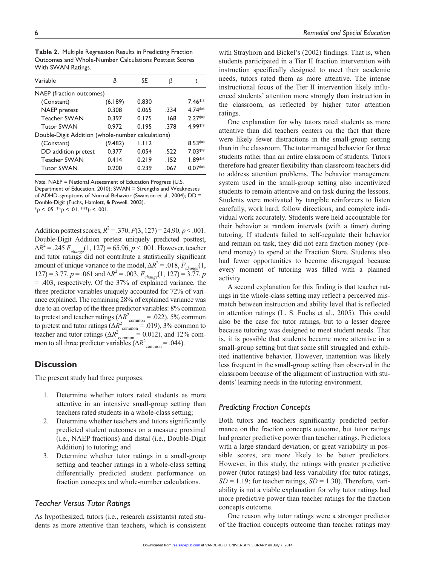| Variable                                          | B       | SF    | ß    | t        |  |  |  |  |
|---------------------------------------------------|---------|-------|------|----------|--|--|--|--|
| NAEP (fraction outcomes)                          |         |       |      |          |  |  |  |  |
| (Constant)                                        | (6.189) | 0.830 |      | $7.46**$ |  |  |  |  |
| <b>NAEP</b> pretest                               | 0.308   | 0.065 | .334 | 4 74**   |  |  |  |  |
| <b>Teacher SWAN</b>                               | 0.397   | 0.175 | .168 | $2.27**$ |  |  |  |  |
| <b>Tutor SWAN</b>                                 | 0.972   | 0.195 | .378 | 4 99**   |  |  |  |  |
| Double-Digit Addition (whole-number calculations) |         |       |      |          |  |  |  |  |
| (Constant)                                        | (9.482) | 1.112 |      | $8.53**$ |  |  |  |  |
| DD addition pretest                               | 0.377   | 0.054 | .522 | $7.03**$ |  |  |  |  |
| <b>Teacher SWAN</b>                               | 0.414   | 0.219 | .152 | $1.89**$ |  |  |  |  |
| <b>Tutor SWAN</b>                                 | 0.200   | 0.239 | .067 | $0.07**$ |  |  |  |  |

**Table 2.** Multiple Regression Results in Predicting Fraction Outcomes and Whole-Number Calculations Posttest Scores With SWAN Ratings.

*Note*. NAEP = National Assessment of Education Progress (U.S. Department of Education, 2010); SWAN = Strengths and Weaknesses of ADHD-symptoms of Normal Behavior (Swanson et al., 2004); DD = Double-Digit (Fuchs, Hamlett, & Powell, 2003). \**p* < .05. \*\**p* < .01. \*\*\**p* < .001.

Addition posttest scores,  $R^2 = .370, F(3, 127) = 24.90, p < .001$ . Double-Digit Addition pretest uniquely predicted posttest,  $\Delta R^2 = .245 F_{change}(1, 127) = 65.96, p < .001$ . However, teacher and tutor ratings did not contribute a statistically significant amount of unique variance to the model,  $\Delta R^2 = .018$ ,  $F_{change}(1, 0)$  $127$ ) = 3.77, *p* = .061 and  $\Delta R^2$  = .003,  $F_{change}(1, 127)$  = 3.77, *p* = .403, respectively. Of the 37% of explained variance, the three predictor variables uniquely accounted for 72% of variance explained. The remaining 28% of explained variance was due to an overlap of the three predictor variables: 8% common to pretest and teacher ratings ( $\Delta R^2_{\text{common}} = .022$ ), 5% common to pretest and tutor ratings  $(\Delta R^2_{\text{common}} = .019)$ , 3% common to teacher and tutor ratings ( $\Delta R^2_{\text{common}} = 0.012$ ), and 12% common to all three predictor variables  $(\Delta R^2_{\text{common}} = .044)$ .

# **Discussion**

The present study had three purposes:

- 1. Determine whether tutors rated students as more attentive in an intensive small-group setting than teachers rated students in a whole-class setting;
- 2. Determine whether teachers and tutors significantly predicted student outcomes on a measure proximal (i.e., NAEP fractions) and distal (i.e., Double-Digit Addition) to tutoring; and
- 3. Determine whether tutor ratings in a small-group setting and teacher ratings in a whole-class setting differentially predicted student performance on fraction concepts and whole-number calculations.

# *Teacher Versus Tutor Ratings*

As hypothesized, tutors (i.e., research assistants) rated students as more attentive than teachers, which is consistent

with Strayhorn and Bickel's (2002) findings. That is, when students participated in a Tier II fraction intervention with instruction specifically designed to meet their academic needs, tutors rated them as more attentive. The intense instructional focus of the Tier II intervention likely influenced students' attention more strongly than instruction in the classroom, as reflected by higher tutor attention ratings.

One explanation for why tutors rated students as more attentive than did teachers centers on the fact that there were likely fewer distractions in the small-group setting than in the classroom. The tutor managed behavior for three students rather than an entire classroom of students. Tutors therefore had greater flexibility than classroom teachers did to address attention problems. The behavior management system used in the small-group setting also incentivized students to remain attentive and on task during the lessons. Students were motivated by tangible reinforcers to listen carefully, work hard, follow directions, and complete individual work accurately. Students were held accountable for their behavior at random intervals (with a timer) during tutoring. If students failed to self-regulate their behavior and remain on task, they did not earn fraction money (pretend money) to spend at the Fraction Store. Students also had fewer opportunities to become disengaged because every moment of tutoring was filled with a planned activity.

A second explanation for this finding is that teacher ratings in the whole-class setting may reflect a perceived mismatch between instruction and ability level that is reflected in attention ratings (L. S. Fuchs et al., 2005). This could also be the case for tutor ratings, but to a lesser degree because tutoring was designed to meet student needs. That is, it is possible that students became more attentive in a small-group setting but that some still struggled and exhibited inattentive behavior. However, inattention was likely less frequent in the small-group setting than observed in the classroom because of the alignment of instruction with students' learning needs in the tutoring environment.

## *Predicting Fraction Concepts*

Both tutors and teachers significantly predicted performance on the fraction concepts outcome, but tutor ratings had greater predictive power than teacher ratings. Predictors with a large standard deviation, or great variability in possible scores, are more likely to be better predictors. However, in this study, the ratings with greater predictive power (tutor ratings) had less variability (for tutor ratings,  $SD = 1.19$ ; for teacher ratings,  $SD = 1.30$ ). Therefore, variability is not a viable explanation for why tutor ratings had more predictive power than teacher ratings for the fraction concepts outcome.

One reason why tutor ratings were a stronger predictor of the fraction concepts outcome than teacher ratings may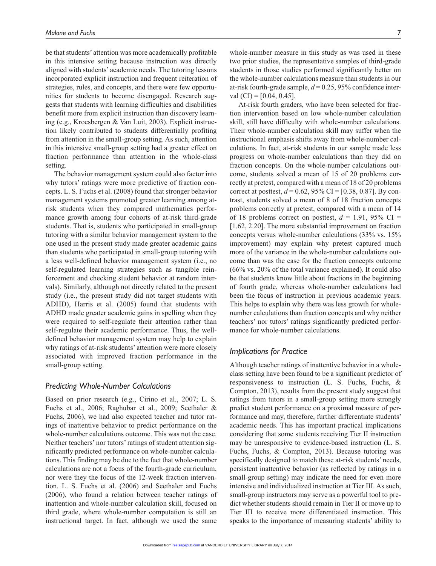be that students' attention was more academically profitable in this intensive setting because instruction was directly aligned with students' academic needs. The tutoring lessons incorporated explicit instruction and frequent reiteration of strategies, rules, and concepts, and there were few opportunities for students to become disengaged. Research suggests that students with learning difficulties and disabilities benefit more from explicit instruction than discovery learning (e.g., Kroesbergen & Van Luit, 2003). Explicit instruction likely contributed to students differentially profiting from attention in the small-group setting. As such, attention in this intensive small-group setting had a greater effect on fraction performance than attention in the whole-class setting.

The behavior management system could also factor into why tutors' ratings were more predictive of fraction concepts. L. S. Fuchs et al. (2008) found that stronger behavior management systems promoted greater learning among atrisk students when they compared mathematics performance growth among four cohorts of at-risk third-grade students. That is, students who participated in small-group tutoring with a similar behavior management system to the one used in the present study made greater academic gains than students who participated in small-group tutoring with a less well-defined behavior management system (i.e., no self-regulated learning strategies such as tangible reinforcement and checking student behavior at random intervals). Similarly, although not directly related to the present study (i.e., the present study did not target students with ADHD), Harris et al. (2005) found that students with ADHD made greater academic gains in spelling when they were required to self-regulate their attention rather than self-regulate their academic performance. Thus, the welldefined behavior management system may help to explain why ratings of at-risk students' attention were more closely associated with improved fraction performance in the small-group setting.

## *Predicting Whole-Number Calculations*

Based on prior research (e.g., Cirino et al., 2007; L. S. Fuchs et al., 2006; Raghubar et al., 2009; Seethaler & Fuchs, 2006), we had also expected teacher and tutor ratings of inattentive behavior to predict performance on the whole-number calculations outcome. This was not the case. Neither teachers' nor tutors' ratings of student attention significantly predicted performance on whole-number calculations. This finding may be due to the fact that whole-number calculations are not a focus of the fourth-grade curriculum, nor were they the focus of the 12-week fraction intervention. L. S. Fuchs et al. (2006) and Seethaler and Fuchs (2006), who found a relation between teacher ratings of inattention and whole-number calculation skill, focused on third grade, where whole-number computation is still an instructional target. In fact, although we used the same

whole-number measure in this study as was used in these two prior studies, the representative samples of third-grade students in those studies performed significantly better on the whole-number calculations measure than students in our at-risk fourth-grade sample, *d* = 0.25, 95% confidence interval  $(CI) = [0.04, 0.45]$ .

At-risk fourth graders, who have been selected for fraction intervention based on low whole-number calculation skill, still have difficulty with whole-number calculations. Their whole-number calculation skill may suffer when the instructional emphasis shifts away from whole-number calculations. In fact, at-risk students in our sample made less progress on whole-number calculations than they did on fraction concepts. On the whole-number calculations outcome, students solved a mean of 15 of 20 problems correctly at pretest, compared with a mean of 18 of 20 problems correct at posttest,  $d = 0.62$ , 95% CI = [0.38, 0.87]. By contrast, students solved a mean of 8 of 18 fraction concepts problems correctly at pretest, compared with a mean of 14 of 18 problems correct on posttest,  $d = 1.91$ , 95% CI = [1.62, 2.20]. The more substantial improvement on fraction concepts versus whole-number calculations (33% vs. 15% improvement) may explain why pretest captured much more of the variance in the whole-number calculations outcome than was the case for the fraction concepts outcome (66% vs. 20% of the total variance explained). It could also be that students know little about fractions in the beginning of fourth grade, whereas whole-number calculations had been the focus of instruction in previous academic years. This helps to explain why there was less growth for wholenumber calculations than fraction concepts and why neither teachers' nor tutors' ratings significantly predicted performance for whole-number calculations.

# *Implications for Practice*

Although teacher ratings of inattentive behavior in a wholeclass setting have been found to be a significant predictor of responsiveness to instruction (L. S. Fuchs, Fuchs, & Compton, 2013), results from the present study suggest that ratings from tutors in a small-group setting more strongly predict student performance on a proximal measure of performance and may, therefore, further differentiate students' academic needs. This has important practical implications considering that some students receiving Tier II instruction may be unresponsive to evidence-based instruction (L. S. Fuchs, Fuchs, & Compton, 2013). Because tutoring was specifically designed to match these at-risk students' needs, persistent inattentive behavior (as reflected by ratings in a small-group setting) may indicate the need for even more intensive and individualized instruction at Tier III. As such, small-group instructors may serve as a powerful tool to predict whether students should remain in Tier II or move up to Tier III to receive more differentiated instruction. This speaks to the importance of measuring students' ability to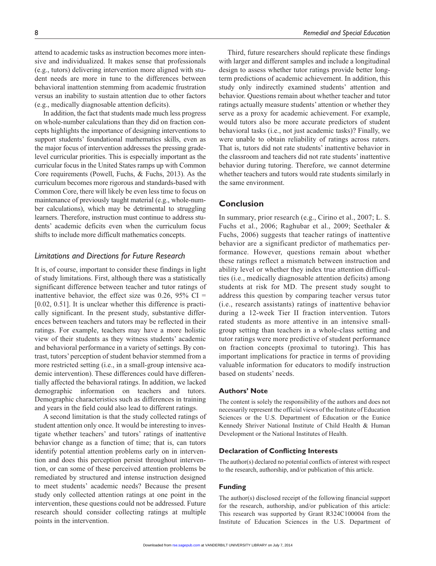attend to academic tasks as instruction becomes more intensive and individualized. It makes sense that professionals (e.g., tutors) delivering intervention more aligned with student needs are more in tune to the differences between behavioral inattention stemming from academic frustration versus an inability to sustain attention due to other factors (e.g., medically diagnosable attention deficits).

In addition, the fact that students made much less progress on whole-number calculations than they did on fraction concepts highlights the importance of designing interventions to support students' foundational mathematics skills, even as the major focus of intervention addresses the pressing gradelevel curricular priorities. This is especially important as the curricular focus in the United States ramps up with Common Core requirements (Powell, Fuchs, & Fuchs, 2013). As the curriculum becomes more rigorous and standards-based with Common Core, there will likely be even less time to focus on maintenance of previously taught material (e.g., whole-number calculations), which may be detrimental to struggling learners. Therefore, instruction must continue to address students' academic deficits even when the curriculum focus shifts to include more difficult mathematics concepts.

#### *Limitations and Directions for Future Research*

It is, of course, important to consider these findings in light of study limitations. First, although there was a statistically significant difference between teacher and tutor ratings of inattentive behavior, the effect size was  $0.26$ ,  $95\%$  CI = [0.02, 0.51]. It is unclear whether this difference is practically significant. In the present study, substantive differences between teachers and tutors may be reflected in their ratings. For example, teachers may have a more holistic view of their students as they witness students' academic and behavioral performance in a variety of settings. By contrast, tutors' perception of student behavior stemmed from a more restricted setting (i.e., in a small-group intensive academic intervention). These differences could have differentially affected the behavioral ratings. In addition, we lacked demographic information on teachers and tutors. Demographic characteristics such as differences in training and years in the field could also lead to different ratings.

A second limitation is that the study collected ratings of student attention only once. It would be interesting to investigate whether teachers' and tutors' ratings of inattentive behavior change as a function of time; that is, can tutors identify potential attention problems early on in intervention and does this perception persist throughout intervention, or can some of these perceived attention problems be remediated by structured and intense instruction designed to meet students' academic needs? Because the present study only collected attention ratings at one point in the intervention, these questions could not be addressed. Future research should consider collecting ratings at multiple points in the intervention.

Third, future researchers should replicate these findings with larger and different samples and include a longitudinal design to assess whether tutor ratings provide better longterm predictions of academic achievement. In addition, this study only indirectly examined students' attention and behavior. Questions remain about whether teacher and tutor ratings actually measure students' attention or whether they serve as a proxy for academic achievement. For example, would tutors also be more accurate predictors of student behavioral tasks (i.e., not just academic tasks)? Finally, we were unable to obtain reliability of ratings across raters. That is, tutors did not rate students' inattentive behavior in the classroom and teachers did not rate students' inattentive behavior during tutoring. Therefore, we cannot determine whether teachers and tutors would rate students similarly in the same environment.

# **Conclusion**

In summary, prior research (e.g., Cirino et al., 2007; L. S. Fuchs et al., 2006; Raghubar et al., 2009; Seethaler & Fuchs, 2006) suggests that teacher ratings of inattentive behavior are a significant predictor of mathematics performance. However, questions remain about whether these ratings reflect a mismatch between instruction and ability level or whether they index true attention difficulties (i.e., medically diagnosable attention deficits) among students at risk for MD. The present study sought to address this question by comparing teacher versus tutor (i.e., research assistants) ratings of inattentive behavior during a 12-week Tier II fraction intervention. Tutors rated students as more attentive in an intensive smallgroup setting than teachers in a whole-class setting and tutor ratings were more predictive of student performance on fraction concepts (proximal to tutoring). This has important implications for practice in terms of providing valuable information for educators to modify instruction based on students' needs.

#### **Authors' Note**

The content is solely the responsibility of the authors and does not necessarily represent the official views of the Institute of Education Sciences or the U.S. Department of Education or the Eunice Kennedy Shriver National Institute of Child Health & Human Development or the National Institutes of Health.

# **Declaration of Conflicting Interests**

The author(s) declared no potential conflicts of interest with respect to the research, authorship, and/or publication of this article.

#### **Funding**

The author(s) disclosed receipt of the following financial support for the research, authorship, and/or publication of this article: This research was supported by Grant R324C100004 from the Institute of Education Sciences in the U.S. Department of